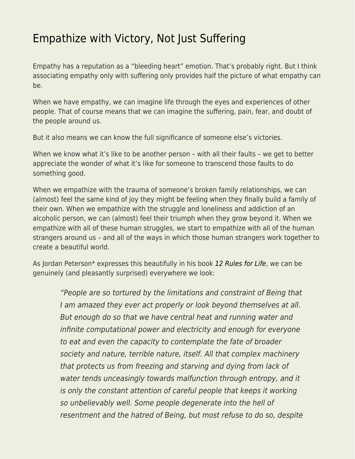## [Empathize with Victory, Not Just Suffering](https://everything-voluntary.com/empathize-with-victory-not-just-suffering)

Empathy has a reputation as a "bleeding heart" emotion. That's probably right. But I think associating empathy only with suffering only provides half the picture of what empathy can be.

When we have empathy, we can imagine life through the eyes and experiences of other people. That of course means that we can imagine the suffering, pain, fear, and doubt of the people around us.

But it also means we can know the full significance of someone else's victories.

When we know what it's like to be another person – with all their faults – we get to better appreciate the wonder of what it's like for someone to transcend those faults to do something good.

When we empathize with the trauma of someone's broken family relationships, we can (almost) feel the same kind of joy they might be feeling when they finally build a family of their own. When we empathize with the struggle and loneliness and addiction of an alcoholic person, we can (almost) feel their triumph when they grow beyond it. When we empathize with all of these human struggles, we start to empathize with all of the human strangers around us – and all of the ways in which those human strangers work together to create a beautiful world.

As Jordan Peterson\* expresses this beautifully in his book [12 Rules for Life](http://www.amazon.com/12-Rules-Life-Antidote-Chaos/dp/0345816021/ref=as_li_bk_tl/?tag=voluntary4all-20&linkId=3abcea9315cf0e2d5c78bcea1d18653e&linkCode=ktl), we can be genuinely (and pleasantly surprised) everywhere we look:

> "People are so tortured by the limitations and constraint of Being that I am amazed they ever act properly or look beyond themselves at all. But enough do so that we have central heat and running water and infinite computational power and electricity and enough for everyone to eat and even the capacity to contemplate the fate of broader society and nature, terrible nature, itself. All that complex machinery that protects us from freezing and starving and dying from lack of water tends unceasingly towards malfunction through entropy, and it is only the constant attention of careful people that keeps it working so unbelievably well. Some people degenerate into the hell of resentment and the hatred of Being, but most refuse to do so, despite